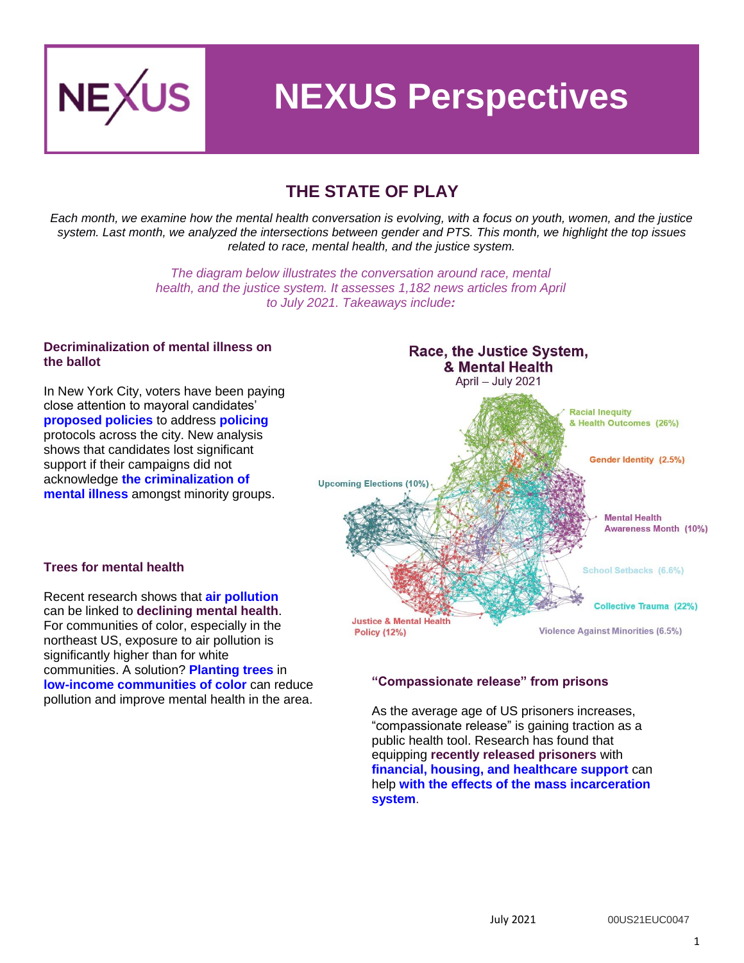

# **NEXUS Perspectives**

## **THE STATE OF PLAY**

*Each month, we examine how the mental health conversation is evolving, with a focus on youth, women, and the justice system. Last month, we analyzed the intersections between gender and PTS. This month, we highlight the top issues related to race, mental health, and the justice system.*

> *The diagram below illustrates the conversation around race, mental health, and the justice system. It assesses 1,182 news articles from April to July 2021. Takeaways include:*

#### **Decriminalization of mental illness on the ballot**

In New York City, voters have been paying close attention to mayoral candidates' **[proposed policies](https://i.quid.com/news/article/MSxtby1sbi00NTE4OTY5OTM0Miw5Mzg5.html)** to address **[policing](https://i.quid.com/news/article/MSxtby1sbi00NTE4OTY5OTM0Miw5Mzg5.html)** protocols across the city. New analysis shows that candidates lost significant support if their campaigns did not acknowledge **[the criminalization of](https://i.quid.com/news/article/MSxtby1sbi00NTE4OTY5OTM0Miw5Mzg5.html)  [mental illness](https://i.quid.com/news/article/MSxtby1sbi00NTE4OTY5OTM0Miw5Mzg5.html)** amongst minority groups.



#### **Trees for mental health**

Recent research shows that **[air pollution](https://thehill.com/changing-america/well-being/longevity/547238-the-links-between-air-pollution-and-long-term-physical)** can be linked to **declining mental health**. For communities of color, especially in the northeast US, exposure to air pollution is significantly higher than for white communities. A solution? **[Planting trees](https://www.salon.com/2021/05/06/in-americas-cities-inequality-is-engrained-in-the-trees_partner/)** in **[low-income communities of color](https://www.salon.com/2021/05/06/in-americas-cities-inequality-is-engrained-in-the-trees_partner/)** can reduce pollution and improve mental health in the area.

#### **"Compassionate release" from prisons**

As the average age of US prisoners increases, "compassionate release" is gaining traction as a public health tool. Research has found that equipping **recently released prisoners** with **[financial, housing, and healthcare support](https://i.quid.com/news/article/MSxtby1sbi00NTE0OTI4MTQyMyw5Mzg5.html)** can help **[with the effects of the mass incarceration](https://i.quid.com/news/article/MSxtby1sbi00NTE0OTI4MTQyMyw5Mzg5.html)  [system](https://i.quid.com/news/article/MSxtby1sbi00NTE0OTI4MTQyMyw5Mzg5.html)**.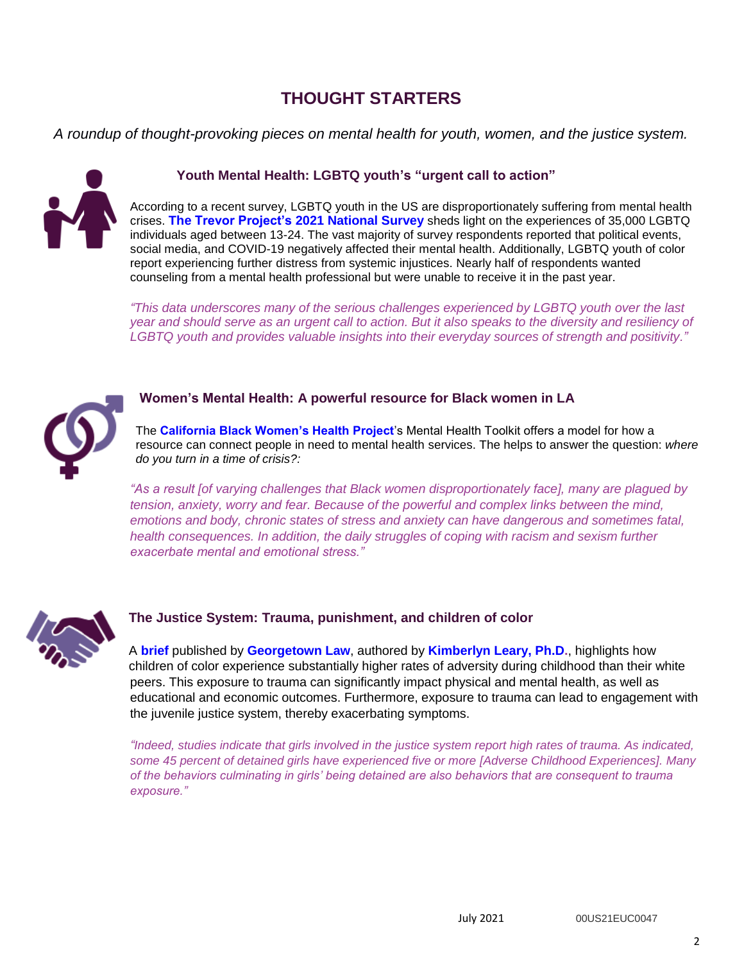# **THOUGHT STARTERS**

*A roundup of thought-provoking pieces on mental health for youth, women, and the justice system.*



#### **Youth Mental Health: LGBTQ youth's "urgent call to action"**

According to a recent survey, LGBTQ youth in the US are disproportionately suffering from mental health crises. **[The Trevor Project's 2021 National Survey](https://www.thetrevorproject.org/survey-2021/)** sheds light on the experiences of 35,000 LGBTQ individuals aged between 13-24. The vast majority of survey respondents reported that political events, social media, and COVID-19 negatively affected their mental health. Additionally, LGBTQ youth of color report experiencing further distress from systemic injustices. Nearly half of respondents wanted counseling from a mental health professional but were unable to receive it in the past year.

*"This data underscores many of the serious challenges experienced by LGBTQ youth over the last year and should serve as an urgent call to action. But it also speaks to the diversity and resiliency of LGBTQ youth and provides valuable insights into their everyday sources of strength and positivity."*



#### **Women's Mental Health: A powerful resource for Black women in LA**

The **[California Black Women's Health Project](https://www.cabwhp.org/mental-health.html)**'s Mental Health Toolkit offers a model for how a resource can connect people in need to mental health services. The helps to answer the question: *where do you turn in a time of crisis?:*

*"As a result [of varying challenges that Black women disproportionately face], many are plagued by tension, anxiety, worry and fear. Because of the powerful and complex links between the mind, emotions and body, chronic states of stress and anxiety can have dangerous and sometimes fatal, health consequences. In addition, the daily struggles of coping with racism and sexism further exacerbate mental and emotional stress."*



#### **The Justice System: Trauma, punishment, and children of color**

A **[brief](https://www.law.georgetown.edu/poverty-inequality-center/wp-content/uploads/sites/14/2019/12/Mental-Health-and-Girls-of-Color.pdf)** published by **[Georgetown Law](https://www.law.georgetown.edu/poverty-inequality-center/wp-content/uploads/sites/14/2019/12/Mental-Health-and-Girls-of-Color.pdf)**, authored by **[Kimberlyn Leary, Ph.D.](https://www.law.georgetown.edu/poverty-inequality-center/wp-content/uploads/sites/14/2019/12/Mental-Health-and-Girls-of-Color.pdf)**, highlights how children of color experience substantially higher rates of adversity during childhood than their white peers. This exposure to trauma can significantly impact physical and mental health, as well as educational and economic outcomes. Furthermore, exposure to trauma can lead to engagement with the juvenile justice system, thereby exacerbating symptoms.

*"Indeed, studies indicate that girls involved in the justice system report high rates of trauma. As indicated, some 45 percent of detained girls have experienced five or more [Adverse Childhood Experiences]. Many of the behaviors culminating in girls' being detained are also behaviors that are consequent to trauma exposure."*